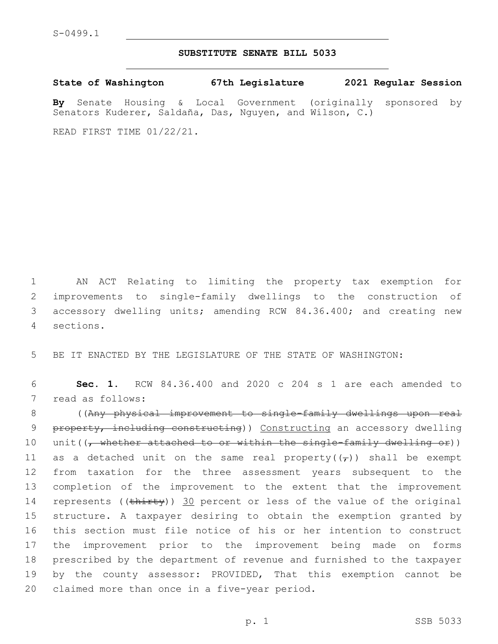## **SUBSTITUTE SENATE BILL 5033**

**State of Washington 67th Legislature 2021 Regular Session**

**By** Senate Housing & Local Government (originally sponsored by Senators Kuderer, Saldaña, Das, Nguyen, and Wilson, C.)

READ FIRST TIME 01/22/21.

 AN ACT Relating to limiting the property tax exemption for improvements to single-family dwellings to the construction of accessory dwelling units; amending RCW 84.36.400; and creating new sections.4

5 BE IT ENACTED BY THE LEGISLATURE OF THE STATE OF WASHINGTON:

6 **Sec. 1.** RCW 84.36.400 and 2020 c 204 s 1 are each amended to 7 read as follows:

8 ((Any physical improvement to single-family dwellings upon real 9 property, including constructing)) Constructing an accessory dwelling 10 unit( $(\tau$  whether attached to or within the single-family dwelling or)) 11 as a detached unit on the same real property( $(\tau)$ ) shall be exempt 12 from taxation for the three assessment years subsequent to the 13 completion of the improvement to the extent that the improvement 14 represents ((thirty)) 30 percent or less of the value of the original 15 structure. A taxpayer desiring to obtain the exemption granted by 16 this section must file notice of his or her intention to construct 17 the improvement prior to the improvement being made on forms 18 prescribed by the department of revenue and furnished to the taxpayer 19 by the county assessor: PROVIDED, That this exemption cannot be 20 claimed more than once in a five-year period.